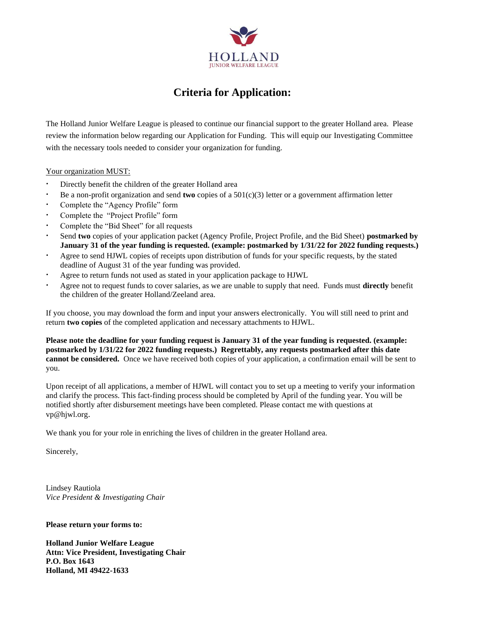

#### **Criteria for Application:**

The Holland Junior Welfare League is pleased to continue our financial support to the greater Holland area. Please review the information below regarding our Application for Funding. This will equip our Investigating Committee with the necessary tools needed to consider your organization for funding.

#### Your organization MUST:

- · Directly benefit the children of the greater Holland area
- · Be a non-profit organization and send **two** copies of a 501(c)(3) letter or a government affirmation letter
- Complete the "Agency Profile" form
- Complete the "Project Profile" form
- · Complete the "Bid Sheet" for all requests
- · Send **two** copies of your application packet (Agency Profile, Project Profile, and the Bid Sheet) **postmarked by January 31 of the year funding is requested. (example: postmarked by 1/31/22 for 2022 funding requests.)**
- Agree to send HJWL copies of receipts upon distribution of funds for your specific requests, by the stated deadline of August 31 of the year funding was provided.
- Agree to return funds not used as stated in your application package to HJWL
- · Agree not to request funds to cover salaries, as we are unable to supply that need. Funds must **directly** benefit the children of the greater Holland/Zeeland area.

If you choose, you may download the form and input your answers electronically. You will still need to print and return **two copies** of the completed application and necessary attachments to HJWL.

**Please note the deadline for your funding request is January 31 of the year funding is requested. (example: postmarked by 1/31/22 for 2022 funding requests.) Regrettably, any requests postmarked after this date cannot be considered.** Once we have received both copies of your application, a confirmation email will be sent to you.

Upon receipt of all applications, a member of HJWL will contact you to set up a meeting to verify your information and clarify the process. This fact-finding process should be completed by April of the funding year. You will be notified shortly after disbursement meetings have been completed. Please contact me with questions at vp@hjwl.org.

We thank you for your role in enriching the lives of children in the greater Holland area.

Sincerely,

Lindsey Rautiola *Vice President & Investigating Chair*

**Please return your forms to:**

**Holland Junior Welfare League Attn: Vice President, Investigating Chair P.O. Box 1643 Holland, MI 49422-1633**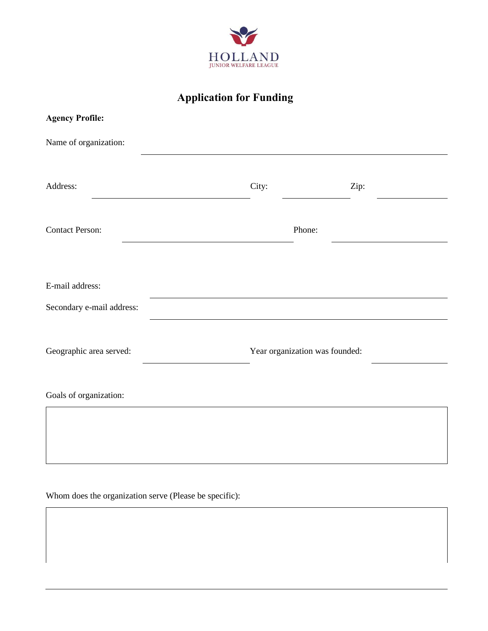

| <b>Agency Profile:</b>    |                                |      |  |
|---------------------------|--------------------------------|------|--|
| Name of organization:     |                                |      |  |
| Address:                  | City:                          | Zip: |  |
| <b>Contact Person:</b>    | Phone:                         |      |  |
| E-mail address:           |                                |      |  |
| Secondary e-mail address: |                                |      |  |
| Geographic area served:   | Year organization was founded: |      |  |
| Goals of organization:    |                                |      |  |
|                           |                                |      |  |
|                           |                                |      |  |

Whom does the organization serve (Please be specific):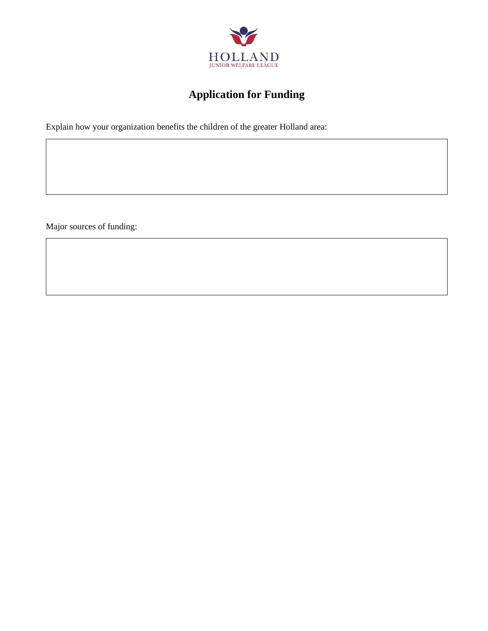

Explain how your organization benefits the children of the greater Holland area:

Major sources of funding: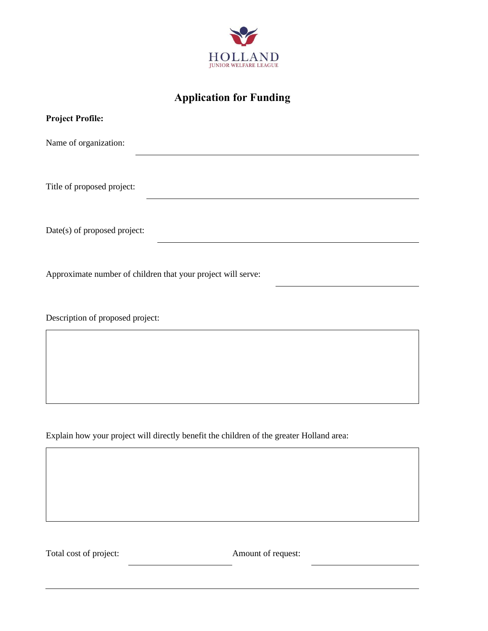

| <b>Project Profile:</b>                                      |
|--------------------------------------------------------------|
| Name of organization:                                        |
|                                                              |
| Title of proposed project:                                   |
|                                                              |
| Date(s) of proposed project:                                 |
|                                                              |
| Approximate number of children that your project will serve: |
|                                                              |
| Description of proposed project:                             |
|                                                              |
|                                                              |
|                                                              |

Explain how your project will directly benefit the children of the greater Holland area:

Total cost of project: Amount of request: